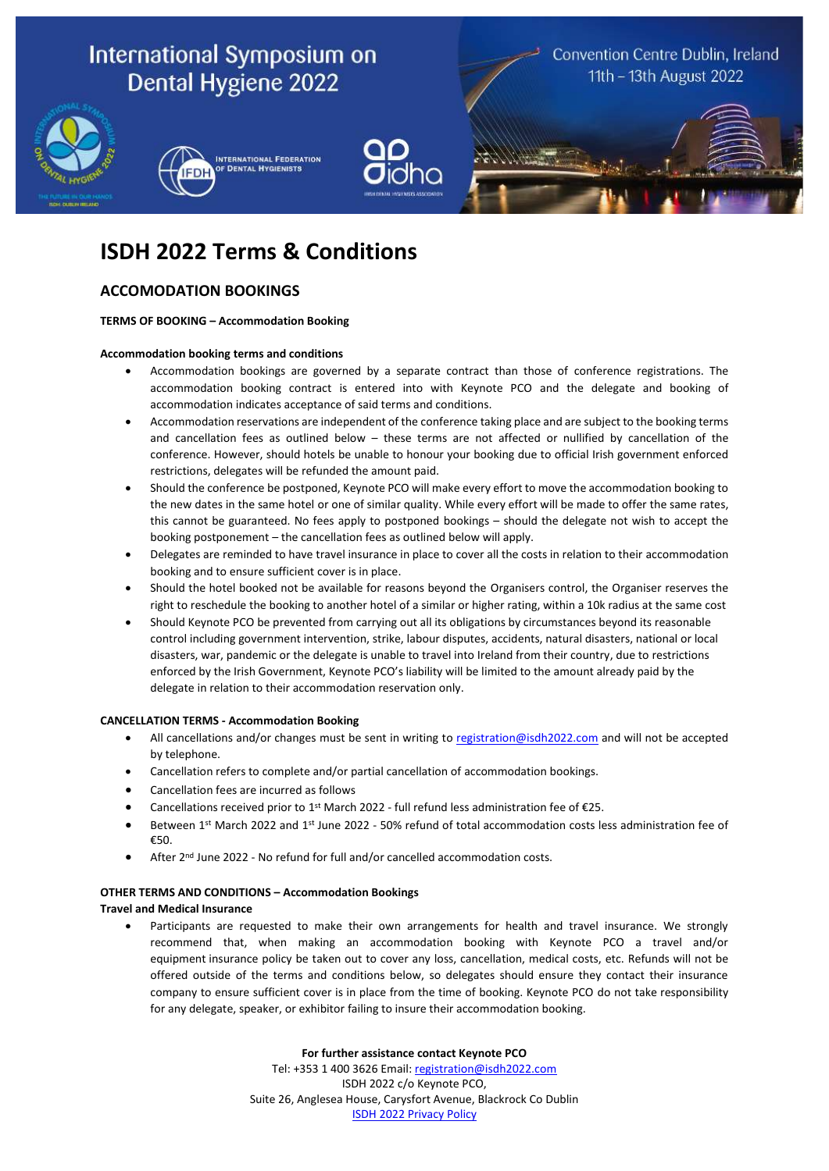

# **ISDH 2022 Terms & Conditions**

# **ACCOMODATION BOOKINGS**

# **TERMS OF BOOKING – Accommodation Booking**

# **Accommodation booking terms and conditions**

- Accommodation bookings are governed by a separate contract than those of conference registrations. The accommodation booking contract is entered into with Keynote PCO and the delegate and booking of accommodation indicates acceptance of said terms and conditions.
- Accommodation reservations are independent of the conference taking place and are subject to the booking terms and cancellation fees as outlined below – these terms are not affected or nullified by cancellation of the conference. However, should hotels be unable to honour your booking due to official Irish government enforced restrictions, delegates will be refunded the amount paid.
- Should the conference be postponed, Keynote PCO will make every effort to move the accommodation booking to the new dates in the same hotel or one of similar quality. While every effort will be made to offer the same rates, this cannot be guaranteed. No fees apply to postponed bookings – should the delegate not wish to accept the booking postponement – the cancellation fees as outlined below will apply.
- Delegates are reminded to have travel insurance in place to cover all the costs in relation to their accommodation booking and to ensure sufficient cover is in place.
- Should the hotel booked not be available for reasons beyond the Organisers control, the Organiser reserves the right to reschedule the booking to another hotel of a similar or higher rating, within a 10k radius at the same cost
- Should Keynote PCO be prevented from carrying out all its obligations by circumstances beyond its reasonable control including government intervention, strike, labour disputes, accidents, natural disasters, national or local disasters, war, pandemic or the delegate is unable to travel into Ireland from their country, due to restrictions enforced by the Irish Government, Keynote PCO's liability will be limited to the amount already paid by the delegate in relation to their accommodation reservation only.

# **CANCELLATION TERMS - Accommodation Booking**

- All cancellations and/or changes must be sent in writing to [registration@isdh2022.com](mailto:registration@isdh2022.com) and will not be accepted by telephone.
- Cancellation refers to complete and/or partial cancellation of accommodation bookings.
- Cancellation fees are incurred as follows
- Cancellations received prior to 1<sup>st</sup> March 2022 full refund less administration fee of €25.
- Between 1st March 2022 and 1st June 2022 50% refund of total accommodation costs less administration fee of €50.
- After 2<sup>nd</sup> June 2022 No refund for full and/or cancelled accommodation costs.

#### **OTHER TERMS AND CONDITIONS – Accommodation Bookings**

#### **Travel and Medical Insurance**

Participants are requested to make their own arrangements for health and travel insurance. We strongly recommend that, when making an accommodation booking with Keynote PCO a travel and/or equipment insurance policy be taken out to cover any loss, cancellation, medical costs, etc. Refunds will not be offered outside of the terms and conditions below, so delegates should ensure they contact their insurance company to ensure sufficient cover is in place from the time of booking. Keynote PCO do not take responsibility for any delegate, speaker, or exhibitor failing to insure their accommodation booking.

**For further assistance contact Keynote PCO**

Tel: +353 1 400 3626 Email: [registration@isdh2022.com](mailto:registration@isdh2022.com) ISDH 2022 c/o Keynote PCO, Suite 26, Anglesea House, Carysfort Avenue, Blackrock Co Dublin ISDH [2022 Privacy Policy](http://isdh2022.com/privacy-policy/)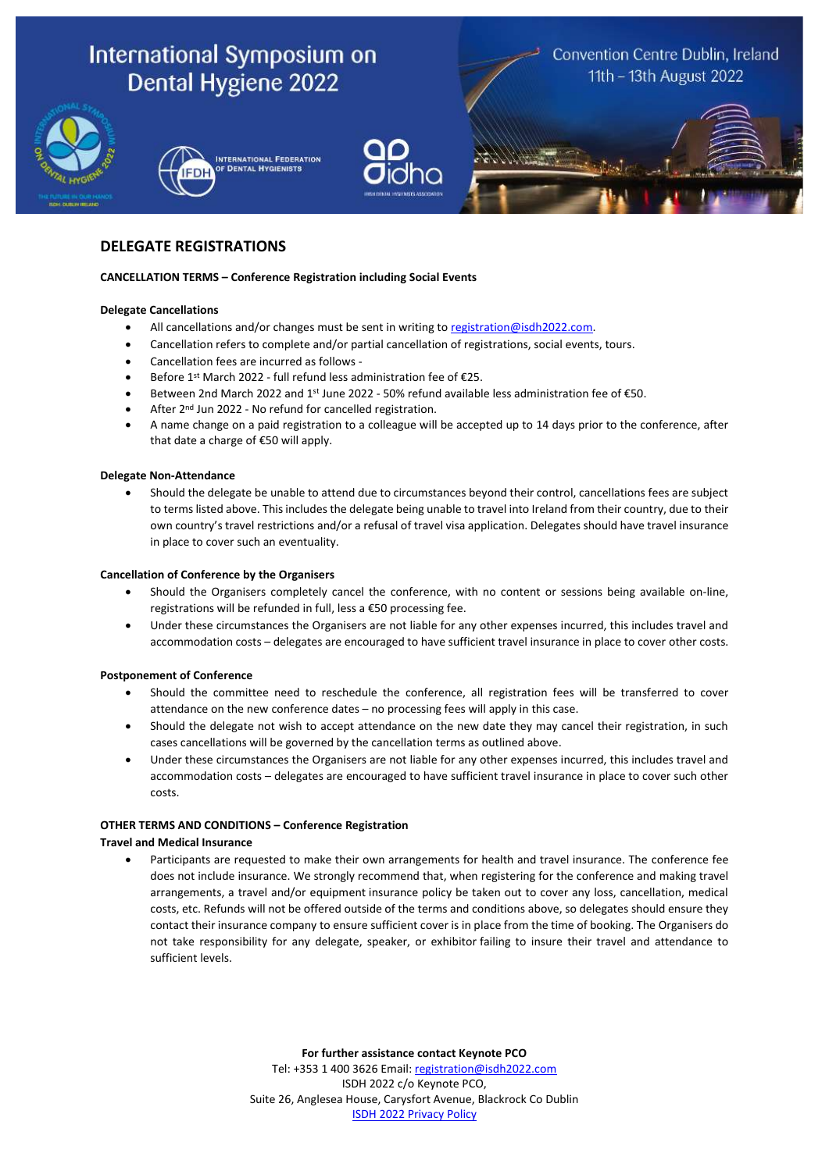

# **DELEGATE REGISTRATIONS**

# **CANCELLATION TERMS – Conference Registration including Social Events**

# **Delegate Cancellations**

- All cancellations and/or changes must be sent in writing to [registration@isdh2022.com.](mailto:registration@isdh2022.com)
- Cancellation refers to complete and/or partial cancellation of registrations, social events, tours.
- Cancellation fees are incurred as follows -
- Before 1 st March 2022 full refund less administration fee of €25.
- Between 2nd March 2022 and 1st June 2022 50% refund available less administration fee of  $€50$ .
- After 2<sup>nd</sup> Jun 2022 No refund for cancelled registration.
- A name change on a paid registration to a colleague will be accepted up to 14 days prior to the conference, after that date a charge of €50 will apply.

#### **Delegate Non-Attendance**

• Should the delegate be unable to attend due to circumstances beyond their control, cancellations fees are subject to terms listed above. This includes the delegate being unable to travel into Ireland from their country, due to their own country's travel restrictions and/or a refusal of travel visa application. Delegates should have travel insurance in place to cover such an eventuality.

#### **Cancellation of Conference by the Organisers**

- Should the Organisers completely cancel the conference, with no content or sessions being available on-line, registrations will be refunded in full, less a €50 processing fee.
- Under these circumstances the Organisers are not liable for any other expenses incurred, this includes travel and accommodation costs – delegates are encouraged to have sufficient travel insurance in place to cover other costs.

# **Postponement of Conference**

- Should the committee need to reschedule the conference, all registration fees will be transferred to cover attendance on the new conference dates – no processing fees will apply in this case.
- Should the delegate not wish to accept attendance on the new date they may cancel their registration, in such cases cancellations will be governed by the cancellation terms as outlined above.
- Under these circumstances the Organisers are not liable for any other expenses incurred, this includes travel and accommodation costs – delegates are encouraged to have sufficient travel insurance in place to cover such other costs.

#### **OTHER TERMS AND CONDITIONS – Conference Registration**

# **Travel and Medical Insurance**

• Participants are requested to make their own arrangements for health and travel insurance. The conference fee does not include insurance. We strongly recommend that, when registering for the conference and making travel arrangements, a travel and/or equipment insurance policy be taken out to cover any loss, cancellation, medical costs, etc. Refunds will not be offered outside of the terms and conditions above, so delegates should ensure they contact their insurance company to ensure sufficient cover is in place from the time of booking. The Organisers do not take responsibility for any delegate, speaker, or exhibitor failing to insure their travel and attendance to sufficient levels.

> **For further assistance contact Keynote PCO** Tel: +353 1 400 3626 Email: [registration@isdh2022.com](mailto:registration@isdh2022.com) ISDH 2022 c/o Keynote PCO, Suite 26, Anglesea House, Carysfort Avenue, Blackrock Co Dublin ISDH [2022 Privacy Policy](http://isdh2022.com/privacy-policy/)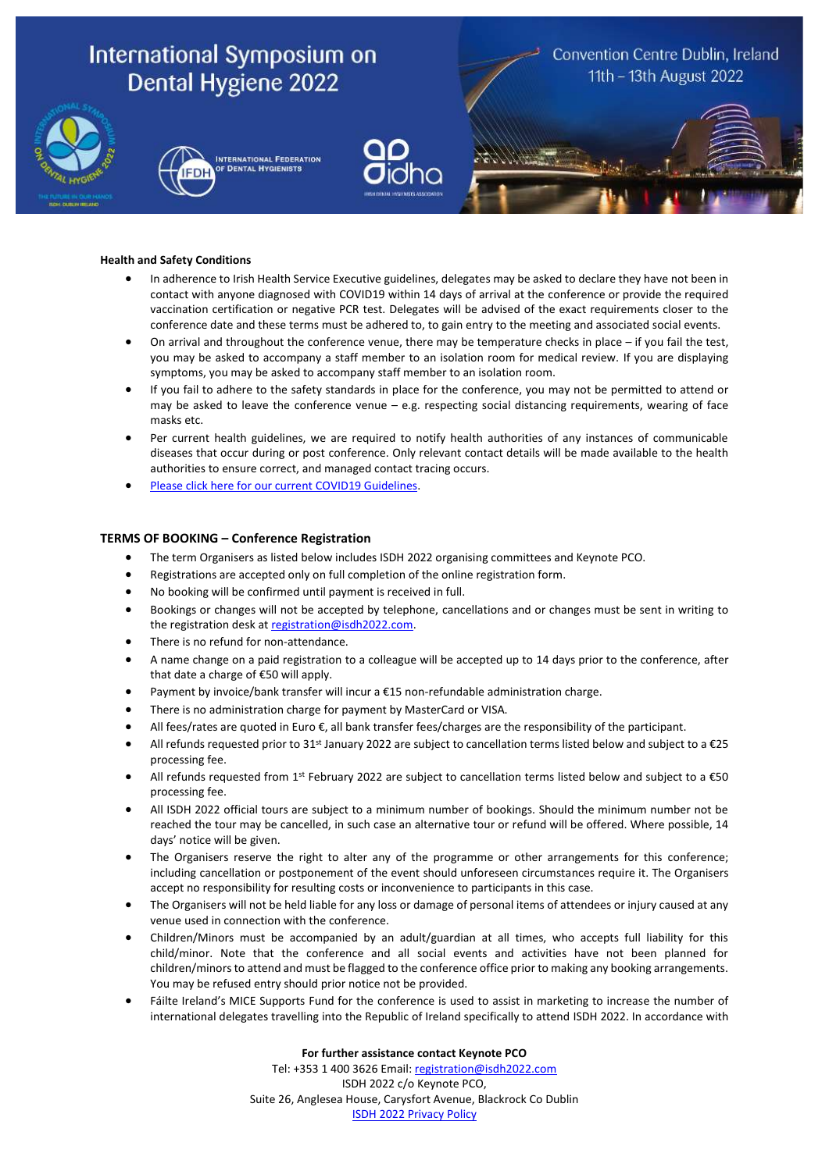

#### **Health and Safety Conditions**

- In adherence to Irish Health Service Executive guidelines, delegates may be asked to declare they have not been in contact with anyone diagnosed with COVID19 within 14 days of arrival at the conference or provide the required vaccination certification or negative PCR test. Delegates will be advised of the exact requirements closer to the conference date and these terms must be adhered to, to gain entry to the meeting and associated social events.
- On arrival and throughout the conference venue, there may be temperature checks in place if you fail the test, you may be asked to accompany a staff member to an isolation room for medical review. If you are displaying symptoms, you may be asked to accompany staff member to an isolation room.
- If you fail to adhere to the safety standards in place for the conference, you may not be permitted to attend or may be asked to leave the conference venue – e.g. respecting social distancing requirements, wearing of face masks etc.
- Per current health guidelines, we are required to notify health authorities of any instances of communicable diseases that occur during or post conference. Only relevant contact details will be made available to the health authorities to ensure correct, and managed contact tracing occurs.
- [Please click here for our current COVID19 Guidelines.](https://isdh2022.com/wp-content/uploads/2021/11/ISDH2022-Covid-Safety.pdf)

# **TERMS OF BOOKING – Conference Registration**

- The term Organisers as listed below includes ISDH 2022 organising committees and Keynote PCO.
- Registrations are accepted only on full completion of the online registration form.
- No booking will be confirmed until payment is received in full.
- Bookings or changes will not be accepted by telephone, cancellations and or changes must be sent in writing to the registration desk at [registration@isdh2022.com.](mailto:registration@isdh2022.com)
- There is no refund for non-attendance.
- A name change on a paid registration to a colleague will be accepted up to 14 days prior to the conference, after that date a charge of €50 will apply.
- Payment by invoice/bank transfer will incur a €15 non-refundable administration charge.
- There is no administration charge for payment by MasterCard or VISA.
- All fees/rates are quoted in Euro €, all bank transfer fees/charges are the responsibility of the participant.
- All refunds requested prior to 31<sup>st</sup> January 2022 are subject to cancellation terms listed below and subject to a €25 processing fee.
- All refunds requested from 1<sup>st</sup> February 2022 are subject to cancellation terms listed below and subject to a  $\epsilon$ 50 processing fee.
- All ISDH 2022 official tours are subject to a minimum number of bookings. Should the minimum number not be reached the tour may be cancelled, in such case an alternative tour or refund will be offered. Where possible, 14 days' notice will be given.
- The Organisers reserve the right to alter any of the programme or other arrangements for this conference; including cancellation or postponement of the event should unforeseen circumstances require it. The Organisers accept no responsibility for resulting costs or inconvenience to participants in this case.
- The Organisers will not be held liable for any loss or damage of personal items of attendees or injury caused at any venue used in connection with the conference.
- Children/Minors must be accompanied by an adult/guardian at all times, who accepts full liability for this child/minor. Note that the conference and all social events and activities have not been planned for children/minors to attend and must be flagged to the conference office prior to making any booking arrangements. You may be refused entry should prior notice not be provided.
- Fáilte Ireland's MICE Supports Fund for the conference is used to assist in marketing to increase the number of international delegates travelling into the Republic of Ireland specifically to attend ISDH 2022. In accordance with

#### **For further assistance contact Keynote PCO**

Tel: +353 1 400 3626 Email: [registration@isdh2022.com](mailto:registration@isdh2022.com) ISDH 2022 c/o Keynote PCO, Suite 26, Anglesea House, Carysfort Avenue, Blackrock Co Dublin ISDH [2022 Privacy Policy](http://isdh2022.com/privacy-policy/)